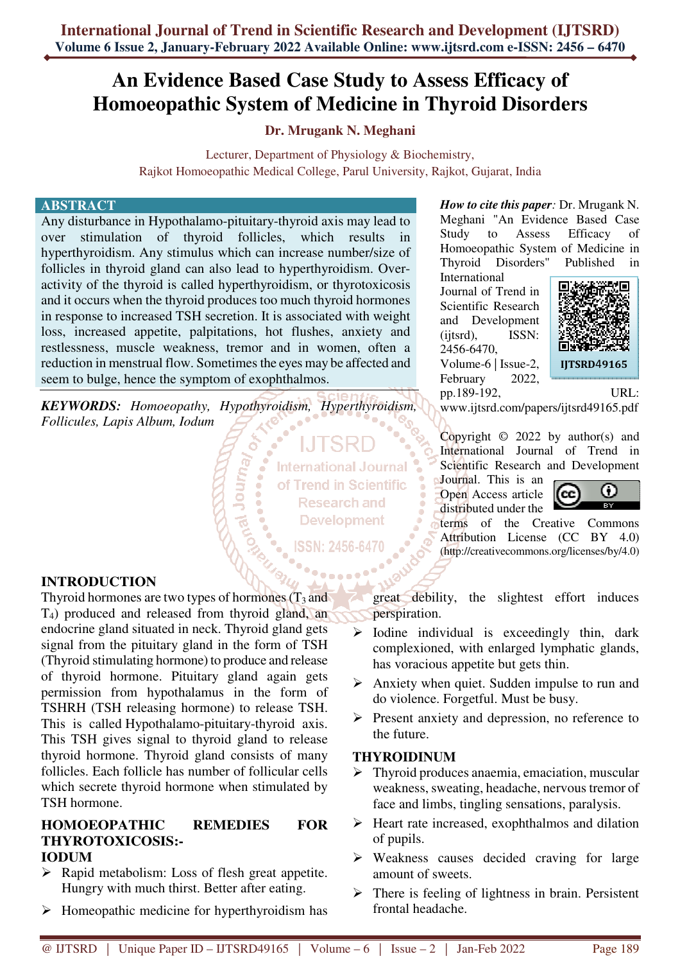# **An Evidence Based Case Study to Assess Efficacy of Homoeopathic System of Medicine in Thyroid Disorders**

# **Dr. Mrugank N. Meghani**

Lecturer, Department of Physiology & Biochemistry, Rajkot Homoeopathic Medical College, Parul University, Rajkot, Gujarat, India

#### **ABSTRACT**

Any disturbance in Hypothalamo-pituitary-thyroid axis may lead to over stimulation of thyroid follicles, which results in hyperthyroidism. Any stimulus which can increase number/size of follicles in thyroid gland can also lead to hyperthyroidism. Overactivity of the thyroid is called hyperthyroidism, or thyrotoxicosis and it occurs when the thyroid produces too much thyroid hormones in response to increased TSH secretion. It is associated with weight loss, increased appetite, palpitations, hot flushes, anxiety and restlessness, muscle weakness, tremor and in women, often a reduction in menstrual flow. Sometimes the eyes may be affected and seem to bulge, hence the symptom of exophthalmos.

*KEYWORDS: Homoeopathy, Hypothyroidism, Hyperthyroidism, Follicules, Lapis Album, Iodum* 

> **International Journal** of Trend in Scientific **Research and Development**

ISSN: 2456-6470

**INTRODUCTION** 

Thyroid hormones are two types of hormones  $(T_3$  and T4) produced and released from thyroid gland, an endocrine gland situated in neck. Thyroid gland gets signal from the pituitary gland in the form of TSH (Thyroid stimulating hormone) to produce and release of thyroid hormone. Pituitary gland again gets permission from hypothalamus in the form of TSHRH (TSH releasing hormone) to release TSH. This is called Hypothalamo-pituitary-thyroid axis. This TSH gives signal to thyroid gland to release thyroid hormone. Thyroid gland consists of many follicles. Each follicle has number of follicular cells which secrete thyroid hormone when stimulated by TSH hormone.

#### **HOMOEOPATHIC REMEDIES FOR THYROTOXICOSIS:- IODUM**

- $\triangleright$  Rapid metabolism: Loss of flesh great appetite. Hungry with much thirst. Better after eating.
- $\triangleright$  Homeopathic medicine for hyperthyroidism has

*How to cite this paper:* Dr. Mrugank N. Meghani "An Evidence Based Case Study to Assess Efficacy of Homoeopathic System of Medicine in Thyroid Disorders" Published in

International Journal of Trend in Scientific Research and Development (ijtsrd), ISSN: 2456-6470, Volume-6 | Issue-2, February 2022,



pp.189-192, URL: www.ijtsrd.com/papers/ijtsrd49165.pdf

Copyright  $\odot$  2022 by author(s) and International Journal of Trend in Scientific Research and Development

Journal. This is an Open Access article distributed under the



terms of the Creative Commons Attribution License (CC BY 4.0) (http://creativecommons.org/licenses/by/4.0)

great debility, the slightest effort induces perspiration.

- $\triangleright$  Iodine individual is exceedingly thin, dark complexioned, with enlarged lymphatic glands, has voracious appetite but gets thin.
- $\triangleright$  Anxiety when quiet. Sudden impulse to run and do violence. Forgetful. Must be busy.
- $\triangleright$  Present anxiety and depression, no reference to the future.

#### **THYROIDINUM**

- $\triangleright$  Thyroid produces anaemia, emaciation, muscular weakness, sweating, headache, nervous tremor of face and limbs, tingling sensations, paralysis.
- $\triangleright$  Heart rate increased, exophthalmos and dilation of pupils.
- $\triangleright$  Weakness causes decided craving for large amount of sweets.
- $\triangleright$  There is feeling of lightness in brain. Persistent frontal headache.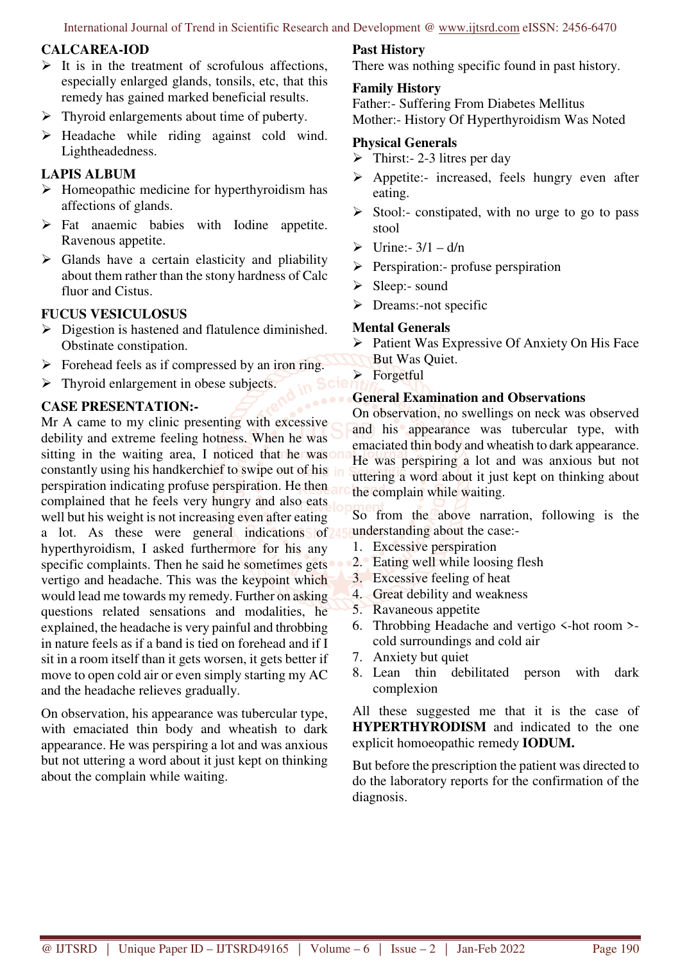International Journal of Trend in Scientific Research and Development @ www.ijtsrd.com eISSN: 2456-6470

## **CALCAREA-IOD**

- $\triangleright$  It is in the treatment of scrofulous affections, especially enlarged glands, tonsils, etc, that this remedy has gained marked beneficial results.
- $\triangleright$  Thyroid enlargements about time of puberty.
- $\triangleright$  Headache while riding against cold wind. Lightheadedness.

# **LAPIS ALBUM**

- $\triangleright$  Homeopathic medicine for hyperthyroidism has affections of glands.
- $\triangleright$  Fat anaemic babies with Iodine appetite. Ravenous appetite.
- $\triangleright$  Glands have a certain elasticity and pliability about them rather than the stony hardness of Calc fluor and Cistus.

# **FUCUS VESICULOSUS**

- $\triangleright$  Digestion is hastened and flatulence diminished. Obstinate constipation.
- $\triangleright$  Forehead feels as if compressed by an iron ring.
- $\triangleright$  Thyroid enlargement in obese subjects.

# **CASE PRESENTATION:-**

Mr A came to my clinic presenting with excessive debility and extreme feeling hotness. When he was sitting in the waiting area, I noticed that he was constantly using his handkerchief to swipe out of his perspiration indicating profuse perspiration. He then complained that he feels very hungry and also eats well but his weight is not increasing even after eating a lot. As these were general indications of 4. hyperthyroidism, I asked furthermore for his any specific complaints. Then he said he sometimes gets vertigo and headache. This was the keypoint which would lead me towards my remedy. Further on asking questions related sensations and modalities, he explained, the headache is very painful and throbbing in nature feels as if a band is tied on forehead and if I sit in a room itself than it gets worsen, it gets better if move to open cold air or even simply starting my AC and the headache relieves gradually.

On observation, his appearance was tubercular type, with emaciated thin body and wheatish to dark appearance. He was perspiring a lot and was anxious but not uttering a word about it just kept on thinking about the complain while waiting.

# **Past History**

There was nothing specific found in past history.

#### **Family History**

Father:- Suffering From Diabetes Mellitus Mother:- History Of Hyperthyroidism Was Noted

## **Physical Generals**

- $\triangleright$  Thirst: 2-3 litres per day
- $\triangleright$  Appetite:- increased, feels hungry even after eating.
- $\triangleright$  Stool:- constipated, with no urge to go to pass stool
- $\triangleright$  Urine:- 3/1 d/n
- $\triangleright$  Perspiration:- profuse perspiration
- $\triangleright$  Sleep:- sound
- $\triangleright$  Dreams:-not specific

### **Mental Generals**

- $\triangleright$  Patient Was Expressive Of Anxiety On His Face
	- But Was Quiet.
- > Forgetful

# **General Examination and Observations**

On observation, no swellings on neck was observed and his appearance was tubercular type, with emaciated thin body and wheatish to dark appearance. He was perspiring a lot and was anxious but not uttering a word about it just kept on thinking about the complain while waiting.

So from the above narration, following is the understanding about the case:-

- 1. Excessive perspiration
- 2. Eating well while loosing flesh
- 3. Excessive feeling of heat
- 4. Great debility and weakness
- 5. Ravaneous appetite
- 6. Throbbing Headache and vertigo <-hot room > cold surroundings and cold air
- 7. Anxiety but quiet
- 8. Lean thin debilitated person with dark complexion

All these suggested me that it is the case of **HYPERTHYRODISM** and indicated to the one explicit homoeopathic remedy **IODUM.** 

But before the prescription the patient was directed to do the laboratory reports for the confirmation of the diagnosis.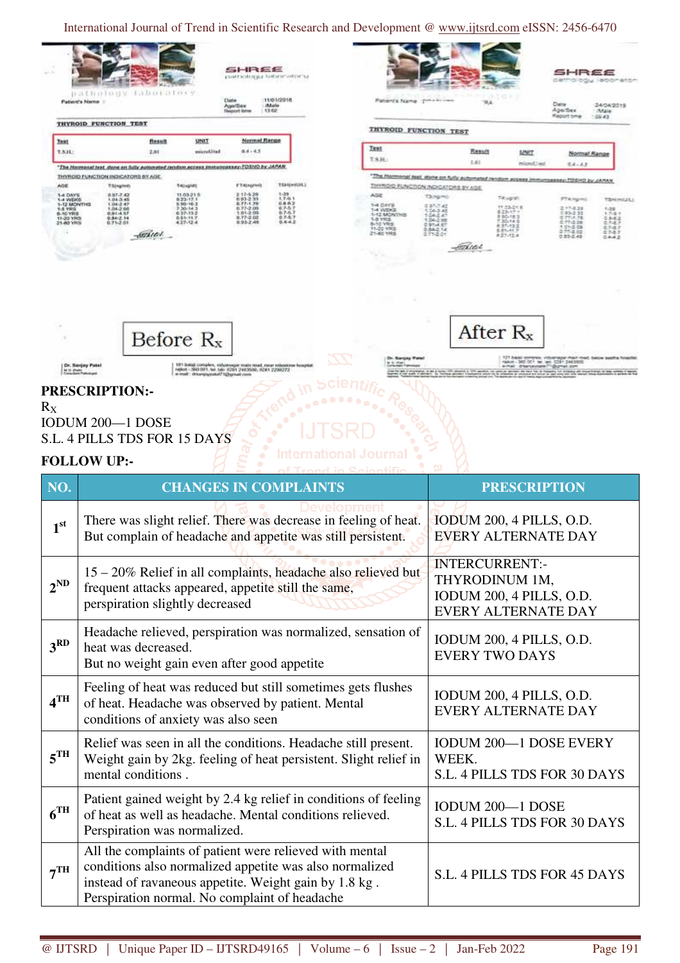International Journal of Trend in Scientific Research and Development @ www.ijtsrd.com eISSN: 2456-6470